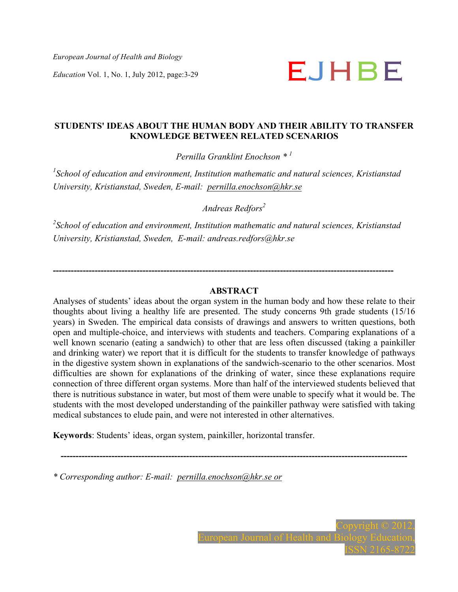*European Journal of Health and Biology* 

# *Education* Vol. 1, No. 1, July 2012, page:3-29 **E**

## **STUDENTS' IDEAS ABOUT THE HUMAN BODY AND THEIR ABILITY TO TRANSFER KNOWLEDGE BETWEEN RELATED SCENARIOS**

*Pernilla Granklint Enochson \* <sup>1</sup>*

<sup>1</sup> School of education and environment, Institution mathematic and natural sciences, Kristianstad *University, Kristianstad, Sweden, E-mail: pernilla.enochson@hkr.se* 

*Andreas Redfors<sup>2</sup>*

*2 School of education and environment, Institution mathematic and natural sciences, Kristianstad University, Kristianstad, Sweden, E-mail: andreas.redfors@hkr.se*

**------------------------------------------------------------------------------------------------------------------** 

## **ABSTRACT**

Analyses of students' ideas about the organ system in the human body and how these relate to their thoughts about living a healthy life are presented. The study concerns 9th grade students (15/16 years) in Sweden. The empirical data consists of drawings and answers to written questions, both open and multiple-choice, and interviews with students and teachers. Comparing explanations of a well known scenario (eating a sandwich) to other that are less often discussed (taking a painkiller and drinking water) we report that it is difficult for the students to transfer knowledge of pathways in the digestive system shown in explanations of the sandwich-scenario to the other scenarios. Most difficulties are shown for explanations of the drinking of water, since these explanations require connection of three different organ systems. More than half of the interviewed students believed that there is nutritious substance in water, but most of them were unable to specify what it would be. The students with the most developed understanding of the painkiller pathway were satisfied with taking medical substances to elude pain, and were not interested in other alternatives.

**--------------------------------------------------------------------------------------------------------------------** 

**Keywords**: Students' ideas, organ system, painkiller, horizontal transfer.

*\* Corresponding author: E-mail: pernilla.enochson@hkr.se or*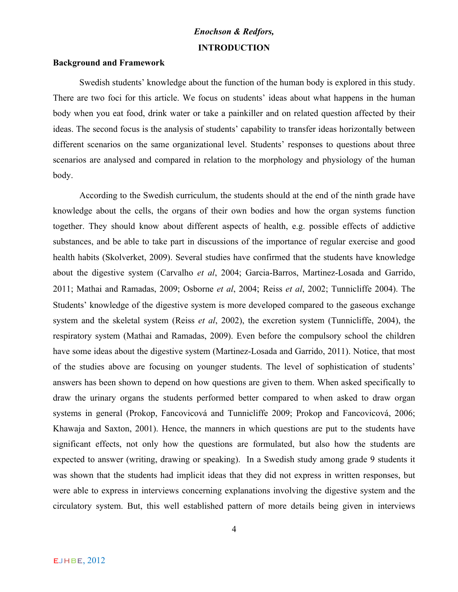## *Enochson & Redfors,* **INTRODUCTION**

#### **Background and Framework**

Swedish students' knowledge about the function of the human body is explored in this study. There are two foci for this article. We focus on students' ideas about what happens in the human body when you eat food, drink water or take a painkiller and on related question affected by their ideas. The second focus is the analysis of students' capability to transfer ideas horizontally between different scenarios on the same organizational level. Students' responses to questions about three scenarios are analysed and compared in relation to the morphology and physiology of the human body.

According to the Swedish curriculum, the students should at the end of the ninth grade have knowledge about the cells, the organs of their own bodies and how the organ systems function together. They should know about different aspects of health, e.g. possible effects of addictive substances, and be able to take part in discussions of the importance of regular exercise and good health habits (Skolverket, 2009). Several studies have confirmed that the students have knowledge about the digestive system (Carvalho *et al*, 2004; Garcia-Barros, Martinez-Losada and Garrido, 2011; Mathai and Ramadas, 2009; Osborne *et al*, 2004; Reiss *et al*, 2002; Tunnicliffe 2004). The Students' knowledge of the digestive system is more developed compared to the gaseous exchange system and the skeletal system (Reiss *et al*, 2002), the excretion system (Tunnicliffe, 2004), the respiratory system (Mathai and Ramadas, 2009). Even before the compulsory school the children have some ideas about the digestive system (Martinez-Losada and Garrido, 2011). Notice, that most of the studies above are focusing on younger students. The level of sophistication of students' answers has been shown to depend on how questions are given to them. When asked specifically to draw the urinary organs the students performed better compared to when asked to draw organ systems in general (Prokop, Fancovicová and Tunnicliffe 2009; Prokop and Fancovicová, 2006; Khawaja and Saxton, 2001). Hence, the manners in which questions are put to the students have significant effects, not only how the questions are formulated, but also how the students are expected to answer (writing, drawing or speaking). In a Swedish study among grade 9 students it was shown that the students had implicit ideas that they did not express in written responses, but were able to express in interviews concerning explanations involving the digestive system and the circulatory system. But, this well established pattern of more details being given in interviews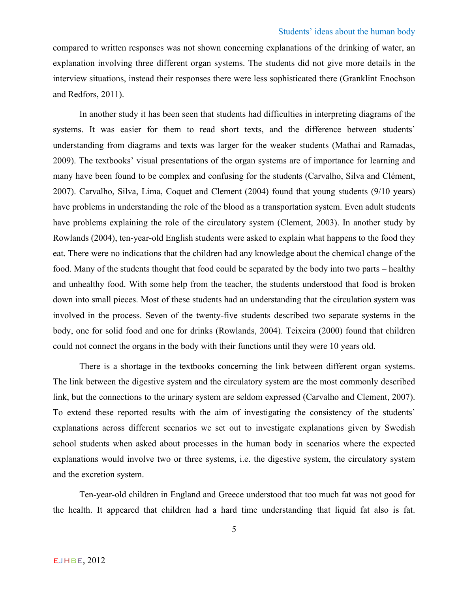compared to written responses was not shown concerning explanations of the drinking of water, an explanation involving three different organ systems. The students did not give more details in the interview situations, instead their responses there were less sophisticated there (Granklint Enochson and Redfors, 2011).

In another study it has been seen that students had difficulties in interpreting diagrams of the systems. It was easier for them to read short texts, and the difference between students' understanding from diagrams and texts was larger for the weaker students (Mathai and Ramadas, 2009). The textbooks' visual presentations of the organ systems are of importance for learning and many have been found to be complex and confusing for the students (Carvalho, Silva and Clément, 2007). Carvalho, Silva, Lima, Coquet and Clement (2004) found that young students (9/10 years) have problems in understanding the role of the blood as a transportation system. Even adult students have problems explaining the role of the circulatory system (Clement, 2003). In another study by Rowlands (2004), ten-year-old English students were asked to explain what happens to the food they eat. There were no indications that the children had any knowledge about the chemical change of the food. Many of the students thought that food could be separated by the body into two parts – healthy and unhealthy food. With some help from the teacher, the students understood that food is broken down into small pieces. Most of these students had an understanding that the circulation system was involved in the process. Seven of the twenty-five students described two separate systems in the body, one for solid food and one for drinks (Rowlands, 2004). Teixeira (2000) found that children could not connect the organs in the body with their functions until they were 10 years old.

There is a shortage in the textbooks concerning the link between different organ systems. The link between the digestive system and the circulatory system are the most commonly described link, but the connections to the urinary system are seldom expressed (Carvalho and Clement, 2007). To extend these reported results with the aim of investigating the consistency of the students' explanations across different scenarios we set out to investigate explanations given by Swedish school students when asked about processes in the human body in scenarios where the expected explanations would involve two or three systems, i.e. the digestive system, the circulatory system and the excretion system.

Ten-year-old children in England and Greece understood that too much fat was not good for the health. It appeared that children had a hard time understanding that liquid fat also is fat.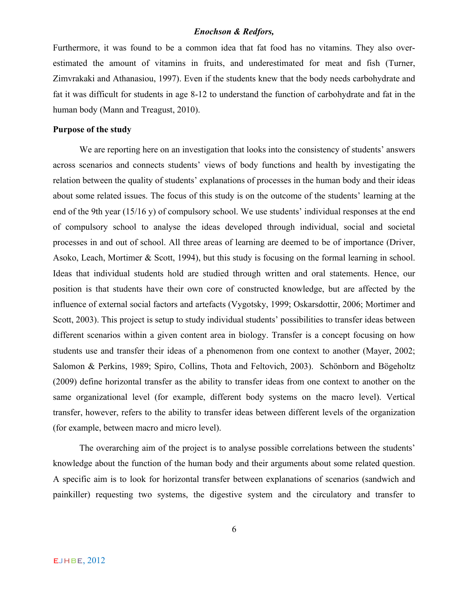Furthermore, it was found to be a common idea that fat food has no vitamins. They also overestimated the amount of vitamins in fruits, and underestimated for meat and fish (Turner, Zimvrakaki and Athanasiou, 1997). Even if the students knew that the body needs carbohydrate and fat it was difficult for students in age 8-12 to understand the function of carbohydrate and fat in the human body (Mann and Treagust, 2010).

#### **Purpose of the study**

We are reporting here on an investigation that looks into the consistency of students' answers across scenarios and connects students' views of body functions and health by investigating the relation between the quality of students' explanations of processes in the human body and their ideas about some related issues. The focus of this study is on the outcome of the students' learning at the end of the 9th year (15/16 y) of compulsory school. We use students' individual responses at the end of compulsory school to analyse the ideas developed through individual, social and societal processes in and out of school. All three areas of learning are deemed to be of importance (Driver, Asoko, Leach, Mortimer & Scott, 1994), but this study is focusing on the formal learning in school. Ideas that individual students hold are studied through written and oral statements. Hence, our position is that students have their own core of constructed knowledge, but are affected by the influence of external social factors and artefacts (Vygotsky, 1999; Oskarsdottir, 2006; Mortimer and Scott, 2003). This project is setup to study individual students' possibilities to transfer ideas between different scenarios within a given content area in biology. Transfer is a concept focusing on how students use and transfer their ideas of a phenomenon from one context to another (Mayer, 2002; Salomon & Perkins, 1989; Spiro, Collins, Thota and Feltovich, 2003). Schönborn and Bögeholtz (2009) define horizontal transfer as the ability to transfer ideas from one context to another on the same organizational level (for example, different body systems on the macro level). Vertical transfer, however, refers to the ability to transfer ideas between different levels of the organization (for example, between macro and micro level).

The overarching aim of the project is to analyse possible correlations between the students' knowledge about the function of the human body and their arguments about some related question. A specific aim is to look for horizontal transfer between explanations of scenarios (sandwich and painkiller) requesting two systems, the digestive system and the circulatory and transfer to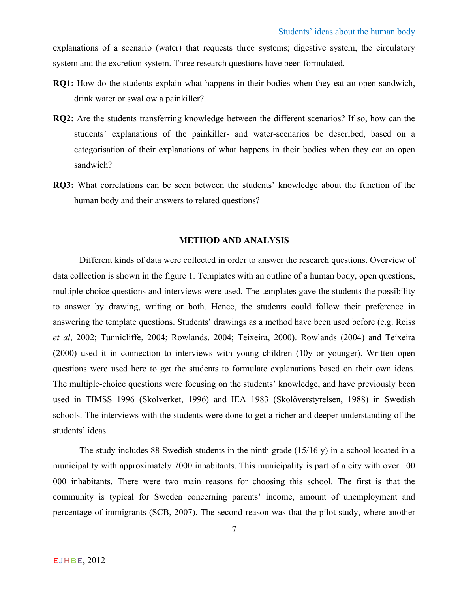explanations of a scenario (water) that requests three systems; digestive system, the circulatory system and the excretion system. Three research questions have been formulated.

- **RQ1:** How do the students explain what happens in their bodies when they eat an open sandwich, drink water or swallow a painkiller?
- **RQ2:** Are the students transferring knowledge between the different scenarios? If so, how can the students' explanations of the painkiller- and water-scenarios be described, based on a categorisation of their explanations of what happens in their bodies when they eat an open sandwich?
- **RQ3:** What correlations can be seen between the students' knowledge about the function of the human body and their answers to related questions?

## **METHOD AND ANALYSIS**

Different kinds of data were collected in order to answer the research questions. Overview of data collection is shown in the figure 1. Templates with an outline of a human body, open questions, multiple-choice questions and interviews were used. The templates gave the students the possibility to answer by drawing, writing or both. Hence, the students could follow their preference in answering the template questions. Students' drawings as a method have been used before (e.g. Reiss *et al*, 2002; Tunnicliffe, 2004; Rowlands, 2004; Teixeira, 2000). Rowlands (2004) and Teixeira (2000) used it in connection to interviews with young children (10y or younger). Written open questions were used here to get the students to formulate explanations based on their own ideas. The multiple-choice questions were focusing on the students' knowledge, and have previously been used in TIMSS 1996 (Skolverket, 1996) and IEA 1983 (Skolöverstyrelsen, 1988) in Swedish schools. The interviews with the students were done to get a richer and deeper understanding of the students' ideas.

The study includes 88 Swedish students in the ninth grade (15/16 y) in a school located in a municipality with approximately 7000 inhabitants. This municipality is part of a city with over 100 000 inhabitants. There were two main reasons for choosing this school. The first is that the community is typical for Sweden concerning parents' income, amount of unemployment and percentage of immigrants (SCB, 2007). The second reason was that the pilot study, where another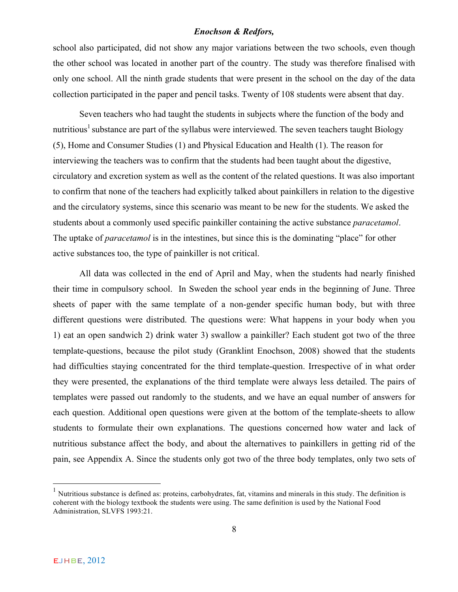school also participated, did not show any major variations between the two schools, even though the other school was located in another part of the country. The study was therefore finalised with only one school. All the ninth grade students that were present in the school on the day of the data collection participated in the paper and pencil tasks. Twenty of 108 students were absent that day.

Seven teachers who had taught the students in subjects where the function of the body and nutritious<sup>1</sup> substance are part of the syllabus were interviewed. The seven teachers taught Biology (5), Home and Consumer Studies (1) and Physical Education and Health (1). The reason for interviewing the teachers was to confirm that the students had been taught about the digestive, circulatory and excretion system as well as the content of the related questions. It was also important to confirm that none of the teachers had explicitly talked about painkillers in relation to the digestive and the circulatory systems, since this scenario was meant to be new for the students. We asked the students about a commonly used specific painkiller containing the active substance *paracetamol*. The uptake of *paracetamol* is in the intestines, but since this is the dominating "place" for other active substances too, the type of painkiller is not critical.

All data was collected in the end of April and May, when the students had nearly finished their time in compulsory school. In Sweden the school year ends in the beginning of June. Three sheets of paper with the same template of a non-gender specific human body, but with three different questions were distributed. The questions were: What happens in your body when you 1) eat an open sandwich 2) drink water 3) swallow a painkiller? Each student got two of the three template-questions, because the pilot study (Granklint Enochson, 2008) showed that the students had difficulties staying concentrated for the third template-question. Irrespective of in what order they were presented, the explanations of the third template were always less detailed. The pairs of templates were passed out randomly to the students, and we have an equal number of answers for each question. Additional open questions were given at the bottom of the template-sheets to allow students to formulate their own explanations. The questions concerned how water and lack of nutritious substance affect the body, and about the alternatives to painkillers in getting rid of the pain, see Appendix A. Since the students only got two of the three body templates, only two sets of

 $<sup>1</sup>$  Nutritious substance is defined as: proteins, carbohydrates, fat, vitamins and minerals in this study. The definition is</sup> coherent with the biology textbook the students were using. The same definition is used by the National Food Administration, SLVFS 1993:21.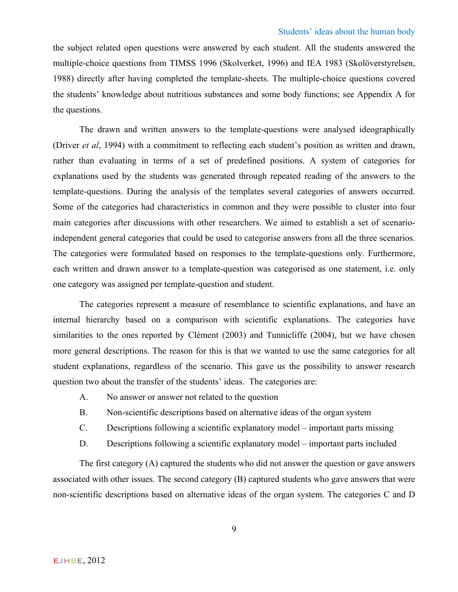the subject related open questions were answered by each student. All the students answered the multiple-choice questions from TIMSS 1996 (Skolverket, 1996) and IEA 1983 (Skolöverstyrelsen, 1988) directly after having completed the template-sheets. The multiple-choice questions covered the students' knowledge about nutritious substances and some body functions; see Appendix A for the questions.

The drawn and written answers to the template-questions were analysed ideographically (Driver *et al*, 1994) with a commitment to reflecting each student's position as written and drawn, rather than evaluating in terms of a set of predefined positions. A system of categories for explanations used by the students was generated through repeated reading of the answers to the template-questions. During the analysis of the templates several categories of answers occurred. Some of the categories had characteristics in common and they were possible to cluster into four main categories after discussions with other researchers. We aimed to establish a set of scenarioindependent general categories that could be used to categorise answers from all the three scenarios. The categories were formulated based on responses to the template-questions only. Furthermore, each written and drawn answer to a template-question was categorised as one statement, i.e. only one category was assigned per template-question and student.

The categories represent a measure of resemblance to scientific explanations, and have an internal hierarchy based on a comparison with scientific explanations. The categories have similarities to the ones reported by Clément (2003) and Tunnicliffe (2004), but we have chosen more general descriptions. The reason for this is that we wanted to use the same categories for all student explanations, regardless of the scenario. This gave us the possibility to answer research question two about the transfer of the students' ideas. The categories are:

- A. No answer or answer not related to the question
- B. Non-scientific descriptions based on alternative ideas of the organ system
- C. Descriptions following a scientific explanatory model important parts missing
- D. Descriptions following a scientific explanatory model important parts included

The first category (A) captured the students who did not answer the question or gave answers associated with other issues. The second category (B) captured students who gave answers that were non-scientific descriptions based on alternative ideas of the organ system. The categories C and D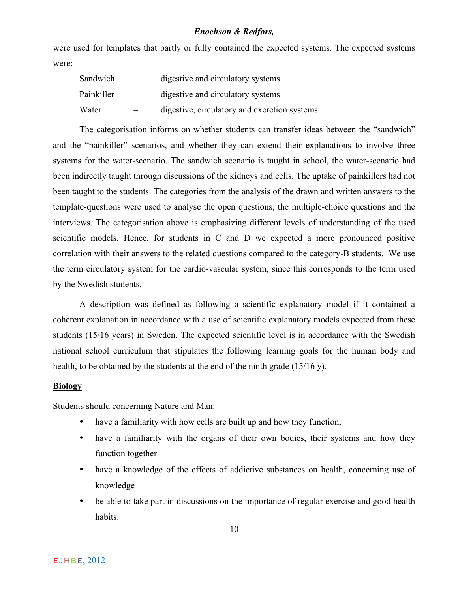were used for templates that partly or fully contained the expected systems. The expected systems were:

| Sandwich   | $\overline{\phantom{0}}$ | digestive and circulatory systems            |
|------------|--------------------------|----------------------------------------------|
| Painkiller | $\overline{\phantom{m}}$ | digestive and circulatory systems            |
| Water      |                          | digestive, circulatory and excretion systems |

The categorisation informs on whether students can transfer ideas between the "sandwich" and the "painkiller" scenarios, and whether they can extend their explanations to involve three systems for the water-scenario. The sandwich scenario is taught in school, the water-scenario had been indirectly taught through discussions of the kidneys and cells. The uptake of painkillers had not been taught to the students. The categories from the analysis of the drawn and written answers to the template-questions were used to analyse the open questions, the multiple-choice questions and the interviews. The categorisation above is emphasizing different levels of understanding of the used scientific models. Hence, for students in C and D we expected a more pronounced positive correlation with their answers to the related questions compared to the category-B students. We use the term circulatory system for the cardio-vascular system, since this corresponds to the term used by the Swedish students.

A description was defined as following a scientific explanatory model if it contained a coherent explanation in accordance with a use of scientific explanatory models expected from these students (15/16 years) in Sweden. The expected scientific level is in accordance with the Swedish national school curriculum that stipulates the following learning goals for the human body and health, to be obtained by the students at the end of the ninth grade (15/16 y).

## **Biology**

Students should concerning Nature and Man:

- have a familiarity with how cells are built up and how they function,
- have a familiarity with the organs of their own bodies, their systems and how they function together
- have a knowledge of the effects of addictive substances on health, concerning use of knowledge
- be able to take part in discussions on the importance of regular exercise and good health habits.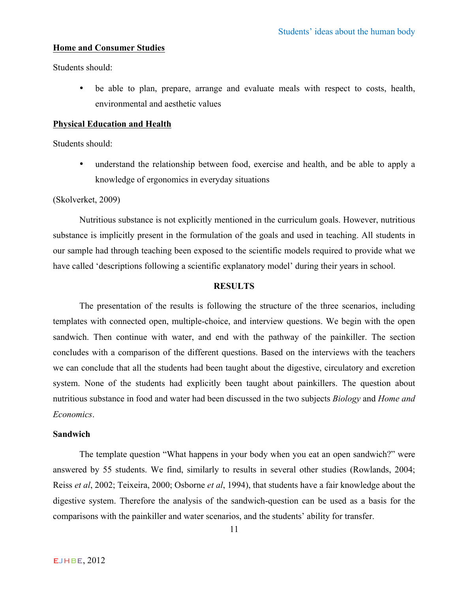## **Home and Consumer Studies**

Students should:

• be able to plan, prepare, arrange and evaluate meals with respect to costs, health, environmental and aesthetic values

## **Physical Education and Health**

Students should:

• understand the relationship between food, exercise and health, and be able to apply a knowledge of ergonomics in everyday situations

(Skolverket, 2009)

Nutritious substance is not explicitly mentioned in the curriculum goals. However, nutritious substance is implicitly present in the formulation of the goals and used in teaching. All students in our sample had through teaching been exposed to the scientific models required to provide what we have called 'descriptions following a scientific explanatory model' during their years in school.

## **RESULTS**

The presentation of the results is following the structure of the three scenarios, including templates with connected open, multiple-choice, and interview questions. We begin with the open sandwich. Then continue with water, and end with the pathway of the painkiller. The section concludes with a comparison of the different questions. Based on the interviews with the teachers we can conclude that all the students had been taught about the digestive, circulatory and excretion system. None of the students had explicitly been taught about painkillers. The question about nutritious substance in food and water had been discussed in the two subjects *Biology* and *Home and Economics*.

## **Sandwich**

The template question "What happens in your body when you eat an open sandwich?" were answered by 55 students. We find, similarly to results in several other studies (Rowlands, 2004; Reiss *et al*, 2002; Teixeira, 2000; Osborne *et al*, 1994), that students have a fair knowledge about the digestive system. Therefore the analysis of the sandwich-question can be used as a basis for the comparisons with the painkiller and water scenarios, and the students' ability for transfer.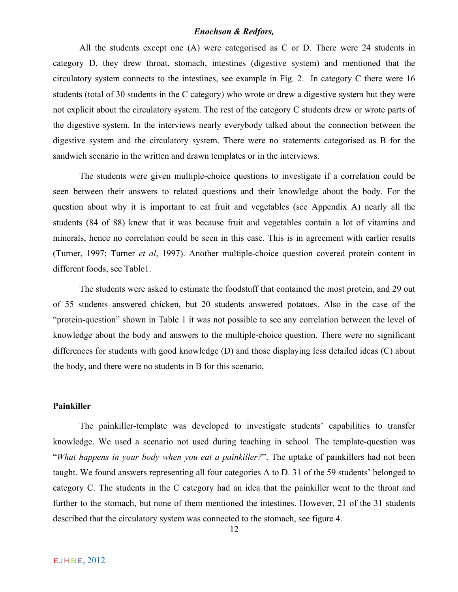All the students except one (A) were categorised as C or D. There were 24 students in category D, they drew throat, stomach, intestines (digestive system) and mentioned that the circulatory system connects to the intestines, see example in Fig. 2. In category C there were 16 students (total of 30 students in the C category) who wrote or drew a digestive system but they were not explicit about the circulatory system. The rest of the category C students drew or wrote parts of the digestive system. In the interviews nearly everybody talked about the connection between the digestive system and the circulatory system. There were no statements categorised as B for the sandwich scenario in the written and drawn templates or in the interviews.

The students were given multiple-choice questions to investigate if a correlation could be seen between their answers to related questions and their knowledge about the body. For the question about why it is important to eat fruit and vegetables (see Appendix A) nearly all the students (84 of 88) knew that it was because fruit and vegetables contain a lot of vitamins and minerals, hence no correlation could be seen in this case. This is in agreement with earlier results (Turner, 1997; Turner *et al*, 1997). Another multiple-choice question covered protein content in different foods, see Table1.

The students were asked to estimate the foodstuff that contained the most protein, and 29 out of 55 students answered chicken, but 20 students answered potatoes. Also in the case of the "protein-question" shown in Table 1 it was not possible to see any correlation between the level of knowledge about the body and answers to the multiple-choice question. There were no significant differences for students with good knowledge (D) and those displaying less detailed ideas (C) about the body, and there were no students in B for this scenario,

#### **Painkiller**

The painkiller-template was developed to investigate students' capabilities to transfer knowledge. We used a scenario not used during teaching in school. The template-question was "*What happens in your body when you eat a painkiller?*". The uptake of painkillers had not been taught. We found answers representing all four categories A to D. 31 of the 59 students' belonged to category C. The students in the C category had an idea that the painkiller went to the throat and further to the stomach, but none of them mentioned the intestines. However, 21 of the 31 students described that the circulatory system was connected to the stomach, see figure 4.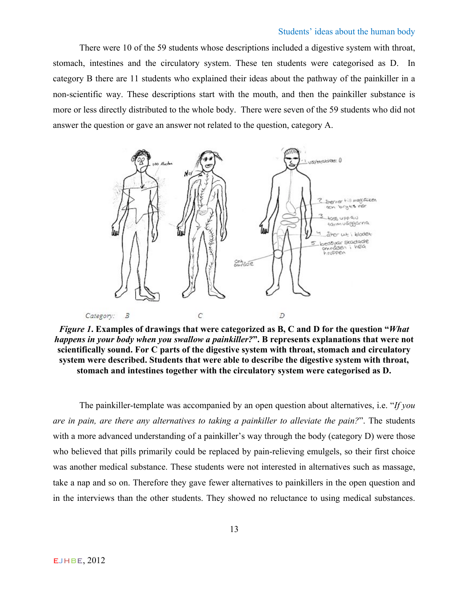#### Students' ideas about the human body

There were 10 of the 59 students whose descriptions included a digestive system with throat, stomach, intestines and the circulatory system. These ten students were categorised as D. In category B there are 11 students who explained their ideas about the pathway of the painkiller in a non-scientific way. These descriptions start with the mouth, and then the painkiller substance is more or less directly distributed to the whole body. There were seven of the 59 students who did not answer the question or gave an answer not related to the question, category A.



*Figure 1***. Examples of drawings that were categorized as B, C and D for the question "***What happens in your body when you swallow a painkiller?***". B represents explanations that were not scientifically sound. For C parts of the digestive system with throat, stomach and circulatory system were described. Students that were able to describe the digestive system with throat, stomach and intestines together with the circulatory system were categorised as D.**

The painkiller-template was accompanied by an open question about alternatives, i.e. "*If you are in pain, are there any alternatives to taking a painkiller to alleviate the pain?*". The students with a more advanced understanding of a painkiller's way through the body (category D) were those who believed that pills primarily could be replaced by pain-relieving emulgels, so their first choice was another medical substance. These students were not interested in alternatives such as massage, take a nap and so on. Therefore they gave fewer alternatives to painkillers in the open question and in the interviews than the other students. They showed no reluctance to using medical substances.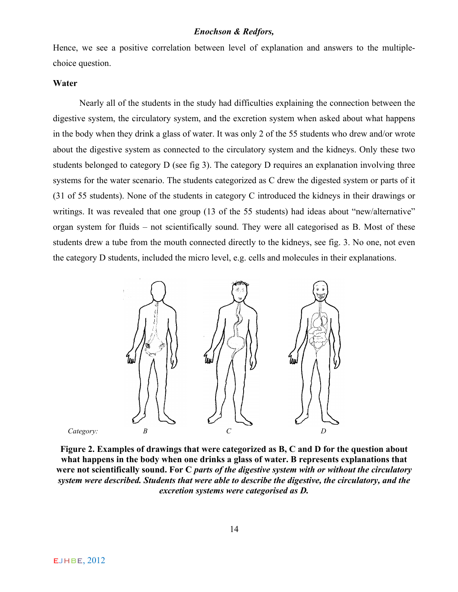Hence, we see a positive correlation between level of explanation and answers to the multiplechoice question.

## **Water**

Nearly all of the students in the study had difficulties explaining the connection between the digestive system, the circulatory system, and the excretion system when asked about what happens in the body when they drink a glass of water. It was only 2 of the 55 students who drew and/or wrote about the digestive system as connected to the circulatory system and the kidneys. Only these two students belonged to category D (see fig 3). The category D requires an explanation involving three systems for the water scenario. The students categorized as C drew the digested system or parts of it (31 of 55 students). None of the students in category C introduced the kidneys in their drawings or writings. It was revealed that one group (13 of the 55 students) had ideas about "new/alternative" organ system for fluids – not scientifically sound. They were all categorised as B. Most of these students drew a tube from the mouth connected directly to the kidneys, see fig. 3. No one, not even the category D students, included the micro level, e.g. cells and molecules in their explanations.



**Figure 2. Examples of drawings that were categorized as B, C and D for the question about what happens in the body when one drinks a glass of water. B represents explanations that were not scientifically sound. For C** *parts of the digestive system with or without the circulatory system were described. Students that were able to describe the digestive, the circulatory, and the excretion systems were categorised as D.*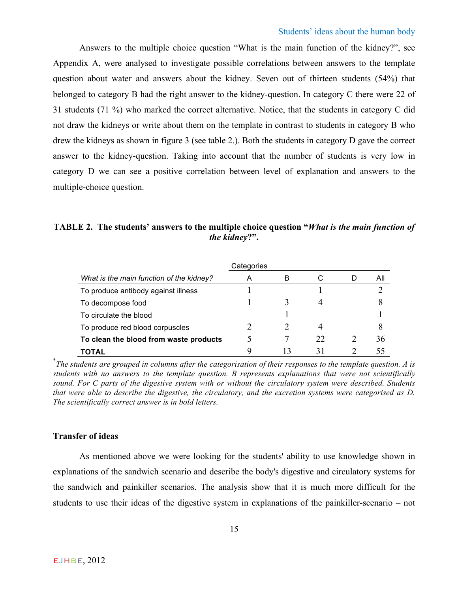Answers to the multiple choice question "What is the main function of the kidney?", see Appendix A, were analysed to investigate possible correlations between answers to the template question about water and answers about the kidney. Seven out of thirteen students (54%) that belonged to category B had the right answer to the kidney-question. In category C there were 22 of 31 students (71 %) who marked the correct alternative. Notice, that the students in category C did not draw the kidneys or write about them on the template in contrast to students in category B who drew the kidneys as shown in figure 3 (see table 2.). Both the students in category D gave the correct answer to the kidney-question. Taking into account that the number of students is very low in category D we can see a positive correlation between level of explanation and answers to the multiple-choice question.

**TABLE 2. The students' answers to the multiple choice question "***What is the main function of the kidney***?".**

|                                          | Categories |   |    |   |     |
|------------------------------------------|------------|---|----|---|-----|
| What is the main function of the kidney? | A          | В | С  |   | All |
| To produce antibody against illness      |            |   |    |   |     |
| To decompose food                        |            |   |    |   |     |
| To circulate the blood                   |            |   |    |   |     |
| To produce red blood corpuscles          |            |   |    |   | 8   |
| To clean the blood from waste products   |            |   | 22 | 2 | 36  |
| TOTAL                                    |            |   |    |   |     |

\* *The students are grouped in columns after the categorisation of their responses to the template question. A is students with no answers to the template question. B represents explanations that were not scientifically sound. For C parts of the digestive system with or without the circulatory system were described. Students that were able to describe the digestive, the circulatory, and the excretion systems were categorised as D. The scientifically correct answer is in bold letters.*

## **Transfer of ideas**

As mentioned above we were looking for the students' ability to use knowledge shown in explanations of the sandwich scenario and describe the body's digestive and circulatory systems for the sandwich and painkiller scenarios. The analysis show that it is much more difficult for the students to use their ideas of the digestive system in explanations of the painkiller-scenario – not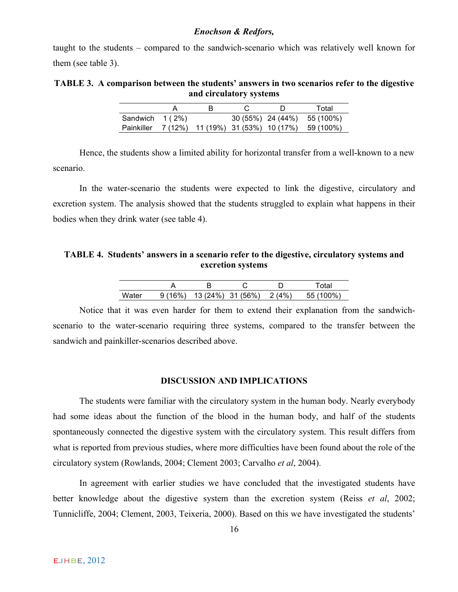taught to the students – compared to the sandwich-scenario which was relatively well known for them (see table 3).

**TABLE 3. A comparison between the students' answers in two scenarios refer to the digestive and circulatory systems**

|                   |  |  | Total                                                   |
|-------------------|--|--|---------------------------------------------------------|
| Sandwich $1(2\%)$ |  |  | 30 (55%) 24 (44%) 55 (100%)                             |
|                   |  |  | Painkiller 7 (12%) 11 (19%) 31 (53%) 10 (17%) 59 (100%) |

Hence, the students show a limited ability for horizontal transfer from a well-known to a new scenario.

In the water-scenario the students were expected to link the digestive, circulatory and excretion system. The analysis showed that the students struggled to explain what happens in their bodies when they drink water (see table 4).

**TABLE 4. Students' answers in a scenario refer to the digestive, circulatory systems and excretion systems**

|       |        |                   |        | งta                |
|-------|--------|-------------------|--------|--------------------|
| Water | 9(16%) | 13 (24%) 31 (56%) | 2 (4%) | ሰ%<br><b>LL</b> 11 |

Notice that it was even harder for them to extend their explanation from the sandwichscenario to the water-scenario requiring three systems, compared to the transfer between the sandwich and painkiller-scenarios described above.

#### **DISCUSSION AND IMPLICATIONS**

The students were familiar with the circulatory system in the human body. Nearly everybody had some ideas about the function of the blood in the human body, and half of the students spontaneously connected the digestive system with the circulatory system. This result differs from what is reported from previous studies, where more difficulties have been found about the role of the circulatory system (Rowlands, 2004; Clement 2003; Carvalho *et al*, 2004).

In agreement with earlier studies we have concluded that the investigated students have better knowledge about the digestive system than the excretion system (Reiss *et al*, 2002; Tunnicliffe, 2004; Clement, 2003, Teixeria, 2000). Based on this we have investigated the students'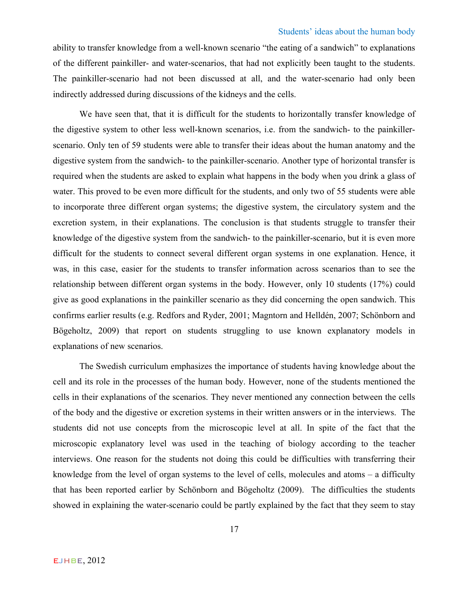ability to transfer knowledge from a well-known scenario "the eating of a sandwich" to explanations of the different painkiller- and water-scenarios, that had not explicitly been taught to the students. The painkiller-scenario had not been discussed at all, and the water-scenario had only been indirectly addressed during discussions of the kidneys and the cells.

We have seen that, that it is difficult for the students to horizontally transfer knowledge of the digestive system to other less well-known scenarios, i.e. from the sandwich- to the painkillerscenario. Only ten of 59 students were able to transfer their ideas about the human anatomy and the digestive system from the sandwich- to the painkiller-scenario. Another type of horizontal transfer is required when the students are asked to explain what happens in the body when you drink a glass of water. This proved to be even more difficult for the students, and only two of 55 students were able to incorporate three different organ systems; the digestive system, the circulatory system and the excretion system, in their explanations. The conclusion is that students struggle to transfer their knowledge of the digestive system from the sandwich- to the painkiller-scenario, but it is even more difficult for the students to connect several different organ systems in one explanation. Hence, it was, in this case, easier for the students to transfer information across scenarios than to see the relationship between different organ systems in the body. However, only 10 students (17%) could give as good explanations in the painkiller scenario as they did concerning the open sandwich. This confirms earlier results (e.g. Redfors and Ryder, 2001; Magntorn and Helldén, 2007; Schönborn and Bögeholtz, 2009) that report on students struggling to use known explanatory models in explanations of new scenarios.

The Swedish curriculum emphasizes the importance of students having knowledge about the cell and its role in the processes of the human body. However, none of the students mentioned the cells in their explanations of the scenarios. They never mentioned any connection between the cells of the body and the digestive or excretion systems in their written answers or in the interviews. The students did not use concepts from the microscopic level at all. In spite of the fact that the microscopic explanatory level was used in the teaching of biology according to the teacher interviews. One reason for the students not doing this could be difficulties with transferring their knowledge from the level of organ systems to the level of cells, molecules and atoms – a difficulty that has been reported earlier by Schönborn and Bögeholtz (2009). The difficulties the students showed in explaining the water-scenario could be partly explained by the fact that they seem to stay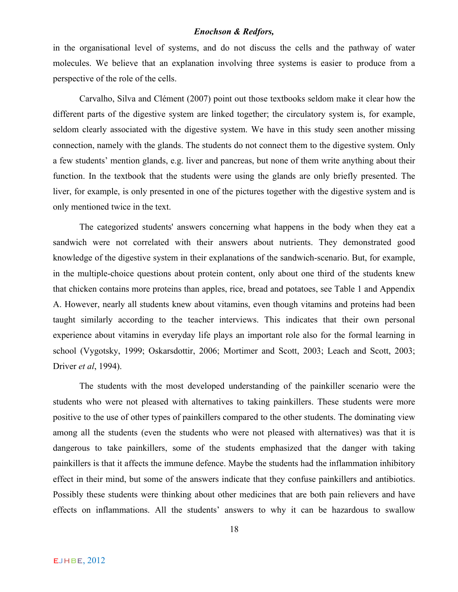in the organisational level of systems, and do not discuss the cells and the pathway of water molecules. We believe that an explanation involving three systems is easier to produce from a perspective of the role of the cells.

Carvalho, Silva and Clément (2007) point out those textbooks seldom make it clear how the different parts of the digestive system are linked together; the circulatory system is, for example, seldom clearly associated with the digestive system. We have in this study seen another missing connection, namely with the glands. The students do not connect them to the digestive system. Only a few students' mention glands, e.g. liver and pancreas, but none of them write anything about their function. In the textbook that the students were using the glands are only briefly presented. The liver, for example, is only presented in one of the pictures together with the digestive system and is only mentioned twice in the text.

The categorized students' answers concerning what happens in the body when they eat a sandwich were not correlated with their answers about nutrients. They demonstrated good knowledge of the digestive system in their explanations of the sandwich-scenario. But, for example, in the multiple-choice questions about protein content, only about one third of the students knew that chicken contains more proteins than apples, rice, bread and potatoes, see Table 1 and Appendix A. However, nearly all students knew about vitamins, even though vitamins and proteins had been taught similarly according to the teacher interviews. This indicates that their own personal experience about vitamins in everyday life plays an important role also for the formal learning in school (Vygotsky, 1999; Oskarsdottir, 2006; Mortimer and Scott, 2003; Leach and Scott, 2003; Driver *et al*, 1994).

The students with the most developed understanding of the painkiller scenario were the students who were not pleased with alternatives to taking painkillers. These students were more positive to the use of other types of painkillers compared to the other students. The dominating view among all the students (even the students who were not pleased with alternatives) was that it is dangerous to take painkillers, some of the students emphasized that the danger with taking painkillers is that it affects the immune defence. Maybe the students had the inflammation inhibitory effect in their mind, but some of the answers indicate that they confuse painkillers and antibiotics. Possibly these students were thinking about other medicines that are both pain relievers and have effects on inflammations. All the students' answers to why it can be hazardous to swallow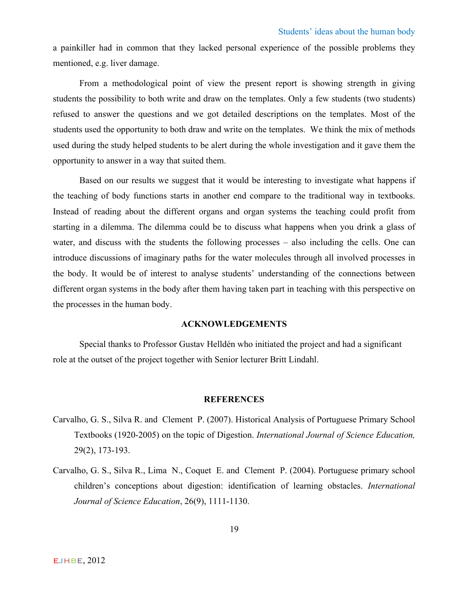a painkiller had in common that they lacked personal experience of the possible problems they mentioned, e.g. liver damage.

From a methodological point of view the present report is showing strength in giving students the possibility to both write and draw on the templates. Only a few students (two students) refused to answer the questions and we got detailed descriptions on the templates. Most of the students used the opportunity to both draw and write on the templates. We think the mix of methods used during the study helped students to be alert during the whole investigation and it gave them the opportunity to answer in a way that suited them.

Based on our results we suggest that it would be interesting to investigate what happens if the teaching of body functions starts in another end compare to the traditional way in textbooks. Instead of reading about the different organs and organ systems the teaching could profit from starting in a dilemma. The dilemma could be to discuss what happens when you drink a glass of water, and discuss with the students the following processes – also including the cells. One can introduce discussions of imaginary paths for the water molecules through all involved processes in the body. It would be of interest to analyse students' understanding of the connections between different organ systems in the body after them having taken part in teaching with this perspective on the processes in the human body.

#### **ACKNOWLEDGEMENTS**

Special thanks to Professor Gustav Helldén who initiated the project and had a significant role at the outset of the project together with Senior lecturer Britt Lindahl.

#### **REFERENCES**

- Carvalho, G. S., Silva R. and Clement P. (2007). Historical Analysis of Portuguese Primary School Textbooks (1920-2005) on the topic of Digestion. *International Journal of Science Education,* 29(2), 173-193.
- Carvalho, G. S., Silva R., Lima N., Coquet E. and Clement P. (2004). Portuguese primary school children's conceptions about digestion: identification of learning obstacles. *International Journal of Science Education*, 26(9), 1111-1130.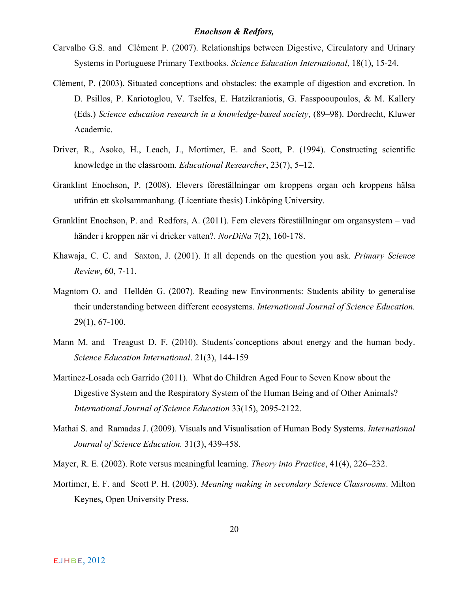- Carvalho G.S. and Clément P. (2007). Relationships between Digestive, Circulatory and Urinary Systems in Portuguese Primary Textbooks. *Science Education International*, 18(1), 15-24.
- Clément, P. (2003). Situated conceptions and obstacles: the example of digestion and excretion. In D. Psillos, P. Kariotoglou, V. Tselfes, E. Hatzikraniotis, G. Fasspooupoulos, & M. Kallery (Eds.) *Science education research in a knowledge-based society*, (89–98). Dordrecht, Kluwer Academic.
- Driver, R., Asoko, H., Leach, J., Mortimer, E. and Scott, P. (1994). Constructing scientific knowledge in the classroom. *Educational Researcher*, 23(7), 5–12.
- Granklint Enochson, P. (2008). Elevers föreställningar om kroppens organ och kroppens hälsa utifrån ett skolsammanhang. (Licentiate thesis) Linköping University.
- Granklint Enochson, P. and Redfors, A. (2011). Fem elevers föreställningar om organsystem vad händer i kroppen när vi dricker vatten?. *NorDiNa* 7(2), 160-178.
- Khawaja, C. C. and Saxton, J. (2001). It all depends on the question you ask. *Primary Science Review*, 60, 7-11.
- Magntorn O. and Helldén G. (2007). Reading new Environments: Students ability to generalise their understanding between different ecosystems. *International Journal of Science Education.*  29(1), 67-100.
- Mann M. and Treagust D. F. (2010). Students´conceptions about energy and the human body. *Science Education International*. 21(3), 144-159
- Martinez-Losada och Garrido (2011). What do Children Aged Four to Seven Know about the Digestive System and the Respiratory System of the Human Being and of Other Animals? *International Journal of Science Education* 33(15), 2095-2122.
- Mathai S. and Ramadas J. (2009). Visuals and Visualisation of Human Body Systems. *International Journal of Science Education.* 31(3), 439-458.
- Mayer, R. E. (2002). Rote versus meaningful learning. *Theory into Practice*, 41(4), 226–232.
- Mortimer, E. F. and Scott P. H. (2003). *Meaning making in secondary Science Classrooms*. Milton Keynes, Open University Press.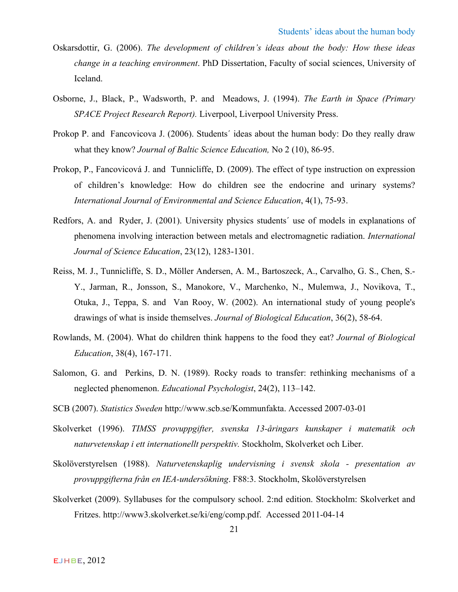- Oskarsdottir, G. (2006). *The development of children's ideas about the body: How these ideas change in a teaching environment*. PhD Dissertation, Faculty of social sciences, University of Iceland.
- Osborne, J., Black, P., Wadsworth, P. and Meadows, J. (1994). *The Earth in Space (Primary SPACE Project Research Report).* Liverpool, Liverpool University Press.
- Prokop P. and Fancovicova J. (2006). Students´ ideas about the human body: Do they really draw what they know? *Journal of Baltic Science Education,* No 2 (10), 86-95.
- Prokop, P., Fancovicová J. and Tunnicliffe, D. (2009). The effect of type instruction on expression of children's knowledge: How do children see the endocrine and urinary systems? *International Journal of Environmental and Science Education*, 4(1), 75-93.
- Redfors, A. and Ryder, J. (2001). University physics students´ use of models in explanations of phenomena involving interaction between metals and electromagnetic radiation. *International Journal of Science Education*, 23(12), 1283-1301.
- Reiss, M. J., Tunnicliffe, S. D., Möller Andersen, A. M., Bartoszeck, A., Carvalho, G. S., Chen, S.- Y., Jarman, R., Jonsson, S., Manokore, V., Marchenko, N., Mulemwa, J., Novikova, T., Otuka, J., Teppa, S. and Van Rooy, W. (2002). An international study of young people's drawings of what is inside themselves. *Journal of Biological Education*, 36(2), 58-64.
- Rowlands, M. (2004). What do children think happens to the food they eat? *Journal of Biological Education*, 38(4), 167-171.
- Salomon, G. and Perkins, D. N. (1989). Rocky roads to transfer: rethinking mechanisms of a neglected phenomenon. *Educational Psychologist*, 24(2), 113–142.
- SCB (2007). *Statistics Sweden* http://www.scb.se/Kommunfakta. Accessed 2007-03-01
- Skolverket (1996). *TIMSS provuppgifter, svenska 13-åringars kunskaper i matematik och naturvetenskap i ett internationellt perspektiv.* Stockholm, Skolverket och Liber.
- Skolöverstyrelsen (1988). *Naturvetenskaplig undervisning i svensk skola - presentation av provuppgifterna från en IEA-undersökning*. F88:3. Stockholm, Skolöverstyrelsen
- Skolverket (2009). Syllabuses for the compulsory school. 2:nd edition. Stockholm: Skolverket and Fritzes. http://www3.skolverket.se/ki/eng/comp.pdf. Accessed 2011-04-14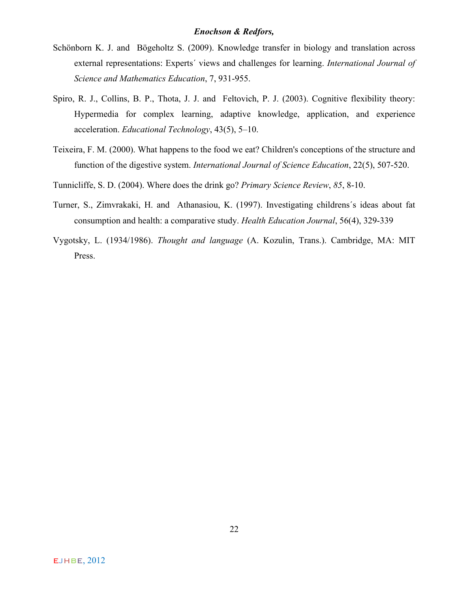- Schönborn K. J. and Bögeholtz S. (2009). Knowledge transfer in biology and translation across external representations: Experts´ views and challenges for learning. *International Journal of Science and Mathematics Education*, 7, 931-955.
- Spiro, R. J., Collins, B. P., Thota, J. J. and Feltovich, P. J. (2003). Cognitive flexibility theory: Hypermedia for complex learning, adaptive knowledge, application, and experience acceleration. *Educational Technology*, 43(5), 5–10.
- Teixeira, F. M. (2000). What happens to the food we eat? Children's conceptions of the structure and function of the digestive system. *International Journal of Science Education*, 22(5), 507-520.
- Tunnicliffe, S. D. (2004). Where does the drink go? *Primary Science Review*, *85*, 8-10.
- Turner, S., Zimvrakaki, H. and Athanasiou, K. (1997). Investigating childrens´s ideas about fat consumption and health: a comparative study. *Health Education Journal*, 56(4), 329-339
- Vygotsky, L. (1934/1986). *Thought and language* (A. Kozulin, Trans.). Cambridge, MA: MIT Press.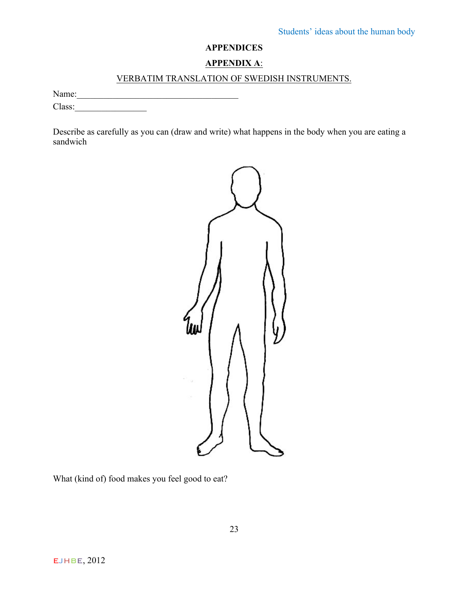## **APPENDICES**

## **APPENDIX A**:

## VERBATIM TRANSLATION OF SWEDISH INSTRUMENTS.

Name:\_\_\_\_\_\_\_\_\_\_\_\_\_\_\_\_\_\_\_\_\_\_\_\_\_\_\_\_\_\_\_\_\_\_\_\_

Class:

Describe as carefully as you can (draw and write) what happens in the body when you are eating a sandwich



What (kind of) food makes you feel good to eat?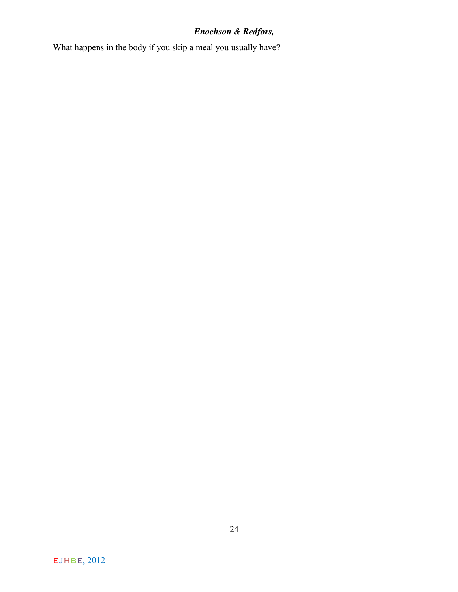What happens in the body if you skip a meal you usually have?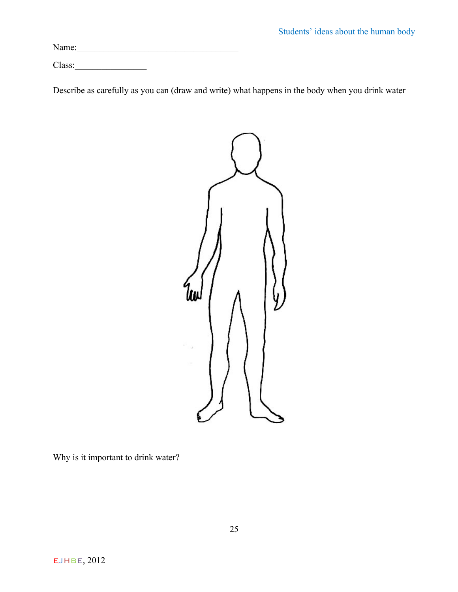Name:\_\_\_\_\_\_\_\_\_\_\_\_\_\_\_\_\_\_\_\_\_\_\_\_\_\_\_\_\_\_\_\_\_\_\_\_

Class:\_\_\_\_\_\_\_\_\_\_\_\_\_\_\_\_

Describe as carefully as you can (draw and write) what happens in the body when you drink water



Why is it important to drink water?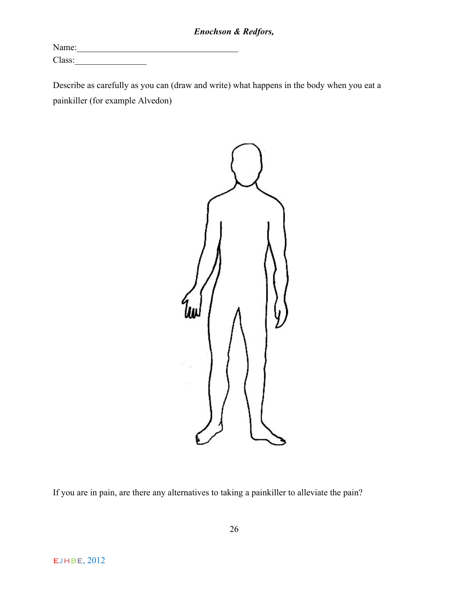Name:\_\_\_\_\_\_\_\_\_\_\_\_\_\_\_\_\_\_\_\_\_\_\_\_\_\_\_\_\_\_\_\_\_\_\_\_ Class:\_\_\_\_\_\_\_\_\_\_\_\_\_\_\_\_

Describe as carefully as you can (draw and write) what happens in the body when you eat a painkiller (for example Alvedon)



If you are in pain, are there any alternatives to taking a painkiller to alleviate the pain?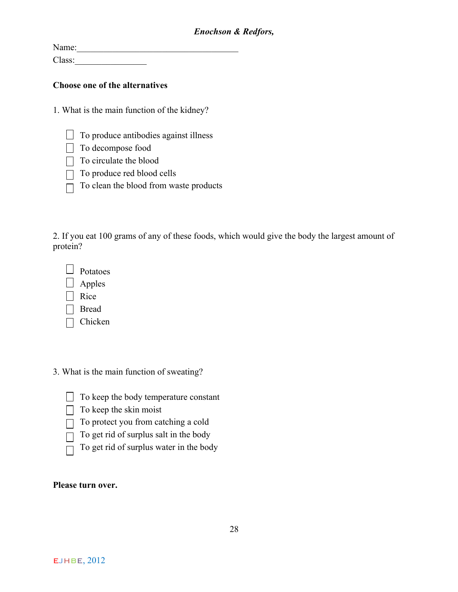Name: Class:

## **Choose one of the alternatives**

1. What is the main function of the kidney?

- $\Box$  To produce antibodies against illness
- $\Box$  To decompose food
- $\Box$  To circulate the blood
- $\Box$  To produce red blood cells
- $\Box$  To clean the blood from waste products

2. If you eat 100 grams of any of these foods, which would give the body the largest amount of protein?

| Potatoes |
|----------|
|----------|

- $\Box$  Apples
- $\Box$  Rice
- □ Bread
- $\Box$  Chicken
- 3. What is the main function of sweating?
	- $\Box$  To keep the body temperature constant
	- $\Box$  To keep the skin moist
	- $\Box$  To protect you from catching a cold
	- $\Box$  To get rid of surplus salt in the body
		- To get rid of surplus water in the body

## **Please turn over.**